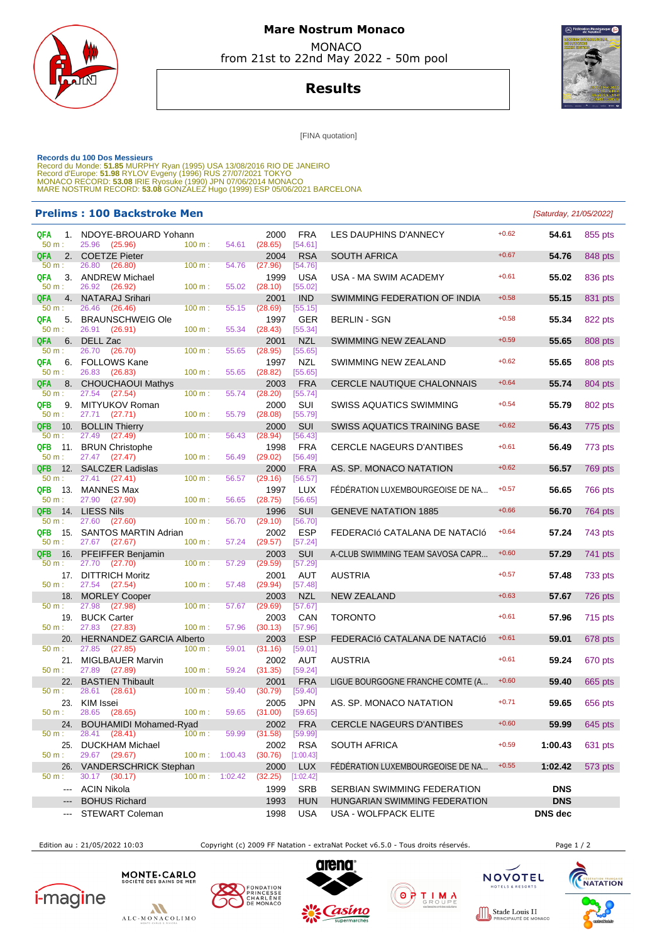

## **Mare Nostrum Monaco MONACO**

from 21st to 22nd May 2022 - 50m pool

**Results**



[FINA quotation]

Records du 100 Dos Messieurs<br>Record du Monde: 51.85 MURPHY Ryan (1995) USA 13/08/2016 RIO DE JANEIRO<br>Record d'Europe: 51.98 RYLOV Evgeny (1996) RUS 27/07/2021 TOKYO<br>MONACO RECORD: 53.08 IRIE Ryosuke (1990) JPN 07/06/2014 M

## **Prelims : 100 Backstroke Men** [Saturday, 21/05/2022]

| QFA<br>1.<br>$50 m$ :                                               | NDOYE-BROUARD Yohann<br>25.96<br>(25.96) | 100 m: | 54.61             | 2000<br>(28.65) | <b>FRA</b><br>[54.61] | LES DAUPHINS D'ANNECY               | $+0.62$ | 54.61          | 855 pts        |
|---------------------------------------------------------------------|------------------------------------------|--------|-------------------|-----------------|-----------------------|-------------------------------------|---------|----------------|----------------|
| <b>QFA</b><br>2.                                                    | <b>COETZE Pieter</b>                     |        |                   | 2004            | <b>RSA</b>            | <b>SOUTH AFRICA</b>                 | $+0.67$ | 54.76          | 848 pts        |
| $50 m$ :                                                            | 26.80<br>(26.80)                         | 100 m: | 54.76             | (27.96)         | [54.76]               |                                     |         |                |                |
| <b>QFA</b>                                                          | 3. ANDREW Michael                        |        |                   | 1999            | <b>USA</b>            | USA - MA SWIM ACADEMY               | $+0.61$ | 55.02          | 836 pts        |
| $50 m$ :                                                            | 26.92<br>(26.92)                         | 100 m: | 55.02             | (28.10)         | [55.02]               |                                     |         |                |                |
| <b>QFA</b><br>4.                                                    | <b>NATARAJ Srihari</b>                   |        |                   | 2001            | <b>IND</b>            | SWIMMING FEDERATION OF INDIA        | $+0.58$ | 55.15          | 831 pts        |
| $50 m$ :                                                            | 26.46<br>(26.46)                         | 100 m: | 55.15             | (28.69)         | [55.15]               |                                     |         |                |                |
|                                                                     |                                          |        |                   |                 |                       |                                     |         |                |                |
| 5.<br>QFA                                                           | <b>BRAUNSCHWEIG Ole</b>                  |        |                   | 1997            | GER                   | <b>BERLIN - SGN</b>                 | $+0.58$ | 55.34          | 822 pts        |
| $50 m$ :                                                            | 26.91 (26.91)                            | 100 m: | 55.34             | (28.43)         | [55.34]               |                                     |         |                |                |
| 6.<br>QFA                                                           | DELL Zac                                 |        |                   | 2001            | <b>NZL</b>            | SWIMMING NEW ZEALAND                | $+0.59$ | 55.65          | 808 pts        |
| 50 m:                                                               | 26.70<br>(26.70)                         | 100 m: | 55.65             | (28.95)         | [55.65]               |                                     |         |                |                |
| QFA                                                                 | 6. FOLLOWS Kane                          |        |                   | 1997            | NZL                   | SWIMMING NEW ZEALAND                | $+0.62$ | 55.65          | 808 pts        |
| $50 m$ :                                                            | 26.83<br>(26.83)                         | 100 m: | 55.65             | (28.82)         | [55.65]               |                                     |         |                |                |
| <b>QFA</b><br>8.                                                    | <b>CHOUCHAOUI Mathys</b>                 |        |                   | 2003            | <b>FRA</b>            | <b>CERCLE NAUTIQUE CHALONNAIS</b>   | $+0.64$ | 55.74          | 804 pts        |
| 50 m:                                                               | 27.54<br>(27.54)                         | 100 m: | 55.74             | (28.20)         | [55.74]               |                                     |         |                |                |
|                                                                     |                                          |        |                   |                 |                       |                                     |         |                |                |
| <b>QFB</b><br>9.                                                    | MITYUKOV Roman                           |        |                   | 2000            | SUI                   | SWISS AQUATICS SWIMMING             | $+0.54$ | 55.79          | 802 pts        |
| $50 m$ :                                                            | 27.71 (27.71)                            | 100 m: | 55.79             | (28.08)         | [55.79]               |                                     |         |                |                |
| <b>QFB</b><br>10.                                                   | <b>BOLLIN Thierry</b>                    |        |                   | 2000            | <b>SUI</b>            | <b>SWISS AQUATICS TRAINING BASE</b> | $+0.62$ | 56.43          | 775 pts        |
| 50 m:                                                               | 27.49<br>(27.49)                         | 100 m: | 56.43             | (28.94)         | [56.43]               |                                     |         |                |                |
| <b>QFB</b><br>11.                                                   | <b>BRUN Christophe</b>                   |        |                   | 1998            | <b>FRA</b>            | <b>CERCLE NAGEURS D'ANTIBES</b>     | $+0.61$ | 56.49          | 773 pts        |
| 50 m:                                                               | 27.47 (27.47)                            | 100 m: | 56.49             | (29.02)         | [56.49]               |                                     |         |                |                |
| 12.<br><b>QFB</b>                                                   | <b>SALCZER Ladislas</b>                  |        |                   | 2000            | <b>FRA</b>            | AS. SP. MONACO NATATION             | $+0.62$ | 56.57          | 769 pts        |
| $50 m$ :                                                            | 27.41<br>(27.41)                         | 100 m: | 56.57             | (29.16)         | [56.57]               |                                     |         |                |                |
|                                                                     |                                          |        |                   |                 |                       |                                     |         |                |                |
| <b>QFB</b><br>13.                                                   | <b>MANNES Max</b>                        |        |                   | 1997            | <b>LUX</b>            | FÉDÉRATION LUXEMBOURGEOISE DE NA    | $+0.57$ | 56.65          | 766 pts        |
| $50 m$ :                                                            | 27.90<br>(27.90)                         | 100 m: | 56.65             | (28.75)         | [56.65]               |                                     |         |                |                |
| <b>QFB</b><br>14.                                                   | <b>LIESS Nils</b>                        |        |                   | 1996            | <b>SUI</b>            | <b>GENEVE NATATION 1885</b>         | $+0.66$ | 56.70          | 764 pts        |
| 50 m:                                                               | 27.60<br>(27.60)                         | 100 m: | 56.70             | (29.10)         | [56.70]               |                                     |         |                |                |
| <b>QFB</b><br>15.                                                   | <b>SANTOS MARTIN Adrian</b>              |        |                   | 2002            | <b>ESP</b>            | FEDERACIó CATALANA DE NATACIó       | $+0.64$ | 57.24          | 743 pts        |
| 50 m:                                                               | 27.67 (27.67)                            | 100 m: | 57.24             | (29.57)         | [57.24]               |                                     |         |                |                |
| <b>QFB</b><br>16.                                                   | PFEIFFER Benjamin                        |        |                   | 2003            | <b>SUI</b>            | A-CLUB SWIMMING TEAM SAVOSA CAPR    | $+0.60$ | 57.29          | 741 pts        |
| 50 m:                                                               | 27.70 (27.70)                            | 100 m: | 57.29             | (29.59)         | [57.29]               |                                     |         |                |                |
|                                                                     |                                          |        |                   |                 |                       |                                     | $+0.57$ |                |                |
| 17.                                                                 | <b>DITTRICH Moritz</b>                   |        |                   | 2001            | AUT                   | <b>AUSTRIA</b>                      |         | 57.48          | 733 pts        |
| 50 m:                                                               | 27.54 (27.54)                            | 100 m: | 57.48             | (29.94)         | [57.48]               |                                     |         |                |                |
| 18.                                                                 | <b>MORLEY Cooper</b>                     |        |                   | 2003            | <b>NZL</b>            | <b>NEW ZEALAND</b>                  | $+0.63$ | 57.67          | 726 pts        |
| $50 m$ :                                                            | 27.98<br>(27.98)                         | 100 m: | 57.67             | (29.69)         | [57.67]               |                                     |         |                |                |
| 19.                                                                 | <b>BUCK Carter</b>                       |        |                   | 2003            | CAN                   | <b>TORONTO</b>                      | $+0.61$ | 57.96          | <b>715 pts</b> |
| 50 m:                                                               | 27.83 (27.83)                            | 100 m: | 57.96             | (30.13)         | [57.96]               |                                     |         |                |                |
| 20.                                                                 | <b>HERNANDEZ GARCIA Alberto</b>          |        |                   | 2003            | <b>ESP</b>            | FEDERACIÓ CATALANA DE NATACIÓ       | $+0.61$ | 59.01          | 678 pts        |
| 50 m:                                                               | 27.85 (27.85)                            | 100 m: | 59.01             | (31.16)         | [59.01]               |                                     |         |                |                |
| 21.                                                                 | <b>MIGLBAUER Marvin</b>                  |        |                   | 2002            | AUT                   | <b>AUSTRIA</b>                      | $+0.61$ | 59.24          | 670 pts        |
| 50 m:                                                               | 27.89<br>(27.89)                         | 100 m: | 59.24             | (31.35)         | [59.24]               |                                     |         |                |                |
|                                                                     |                                          |        |                   |                 |                       |                                     |         |                |                |
| 22.                                                                 | <b>BASTIEN Thibault</b>                  |        |                   | 2001            | <b>FRA</b>            | LIGUE BOURGOGNE FRANCHE COMTE (A    | $+0.60$ | 59.40          | 665 pts        |
| 50 m:                                                               | 28.61<br>(28.61)                         | 100 m: | 59.40             | (30.79)         | [59.40]               |                                     |         |                |                |
| 23.                                                                 | KIM Issei                                |        |                   | 2005            | JPN                   | AS. SP. MONACO NATATION             | $+0.71$ | 59.65          | 656 pts        |
| 50 m:                                                               | 28.65<br>(28.65)                         | 100 m: | 59.65             | (31.00)         | [59.65]               |                                     |         |                |                |
|                                                                     | 24. BOUHAMIDI Mohamed-Ryad               |        |                   | 2002            | <b>FRA</b>            | CERCLE NAGEURS D'ANTIBES            | $+0.60$ | 59.99          | 645 pts        |
| 50 m :                                                              | 28.41 (28.41)                            | 100 m: | 59.99             | (31.58)         | [59.99]               |                                     |         |                |                |
| 25.                                                                 | <b>DUCKHAM Michael</b>                   |        |                   | 2002            | <b>RSA</b>            | SOUTH AFRICA                        | $+0.59$ | 1:00.43        | 631 pts        |
| 50 m:                                                               | 29.67 (29.67)                            |        | $100 m$ : 1:00.43 | (30.76)         | [1:00.43]             |                                     |         |                |                |
|                                                                     |                                          |        |                   |                 |                       |                                     |         |                |                |
|                                                                     | 26. VANDERSCHRICK Stephan                |        |                   | 2000            | <b>LUX</b>            | FÉDÉRATION LUXEMBOURGEOISE DE NA    | $+0.55$ | 1:02.42        | 573 pts        |
| $50 m$ :                                                            | 30.17 (30.17)                            |        | $100 m$ : 1:02.42 | (32.25)         | [1:02.42]             |                                     |         |                |                |
| $\frac{1}{2} \left( \frac{1}{2} \right) \left( \frac{1}{2} \right)$ | <b>ACIN Nikola</b>                       |        |                   | 1999            | <b>SRB</b>            | SERBIAN SWIMMING FEDERATION         |         | <b>DNS</b>     |                |
| $\qquad \qquad \cdots$                                              | <b>BOHUS Richard</b>                     |        |                   | 1993            | <b>HUN</b>            | HUNGARIAN SWIMMING FEDERATION       |         | <b>DNS</b>     |                |
|                                                                     |                                          |        |                   |                 |                       |                                     |         |                |                |
| $\qquad \qquad \cdots$                                              | <b>STEWART Coleman</b>                   |        |                   | 1998            | <b>USA</b>            | USA - WOLFPACK ELITE                |         | <b>DNS</b> dec |                |

Edition au : 21/05/2022 10:03 Copyright (c) 2009 FF Natation - extraNat Pocket v6.5.0 - Tous droits réservés. Page 1 / 2











ြစ္)



Stade Louis II